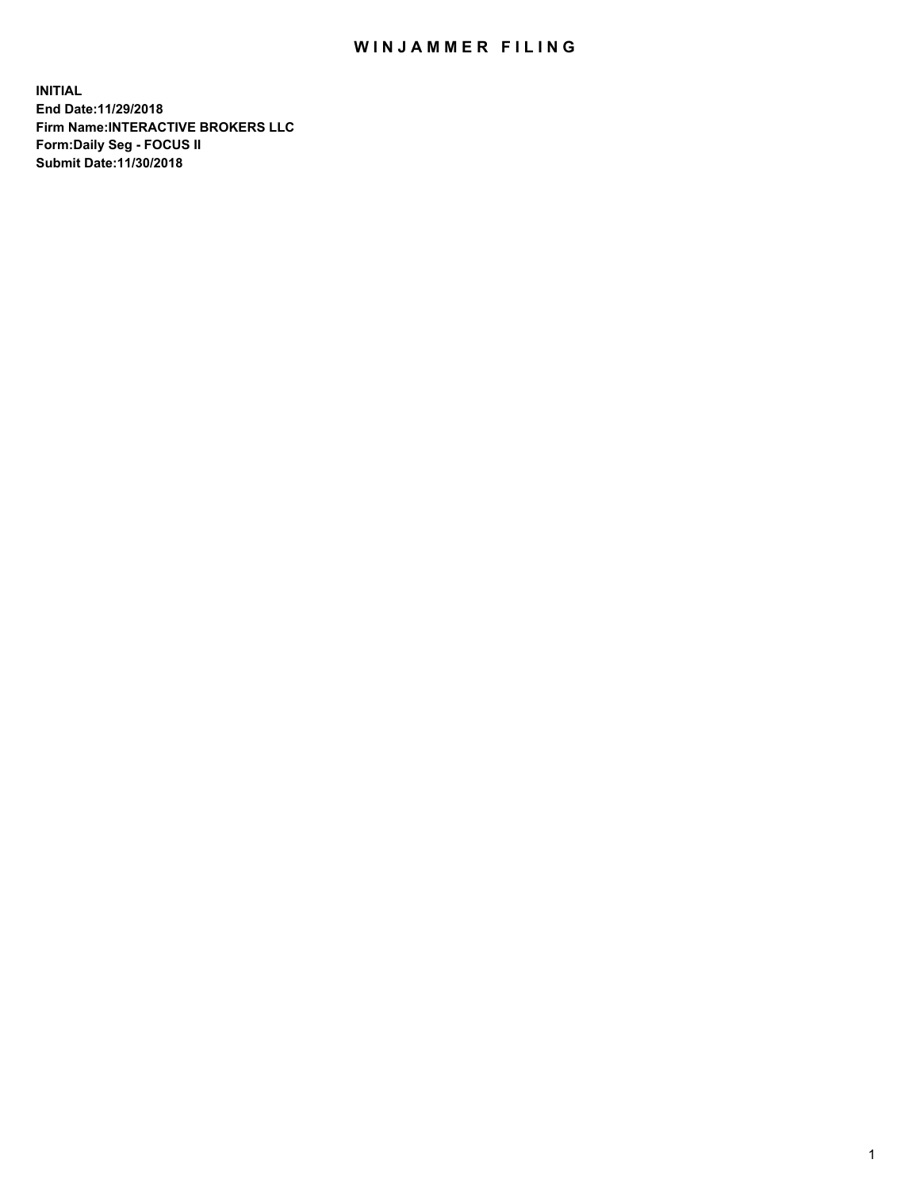## WIN JAMMER FILING

**INITIAL End Date:11/29/2018 Firm Name:INTERACTIVE BROKERS LLC Form:Daily Seg - FOCUS II Submit Date:11/30/2018**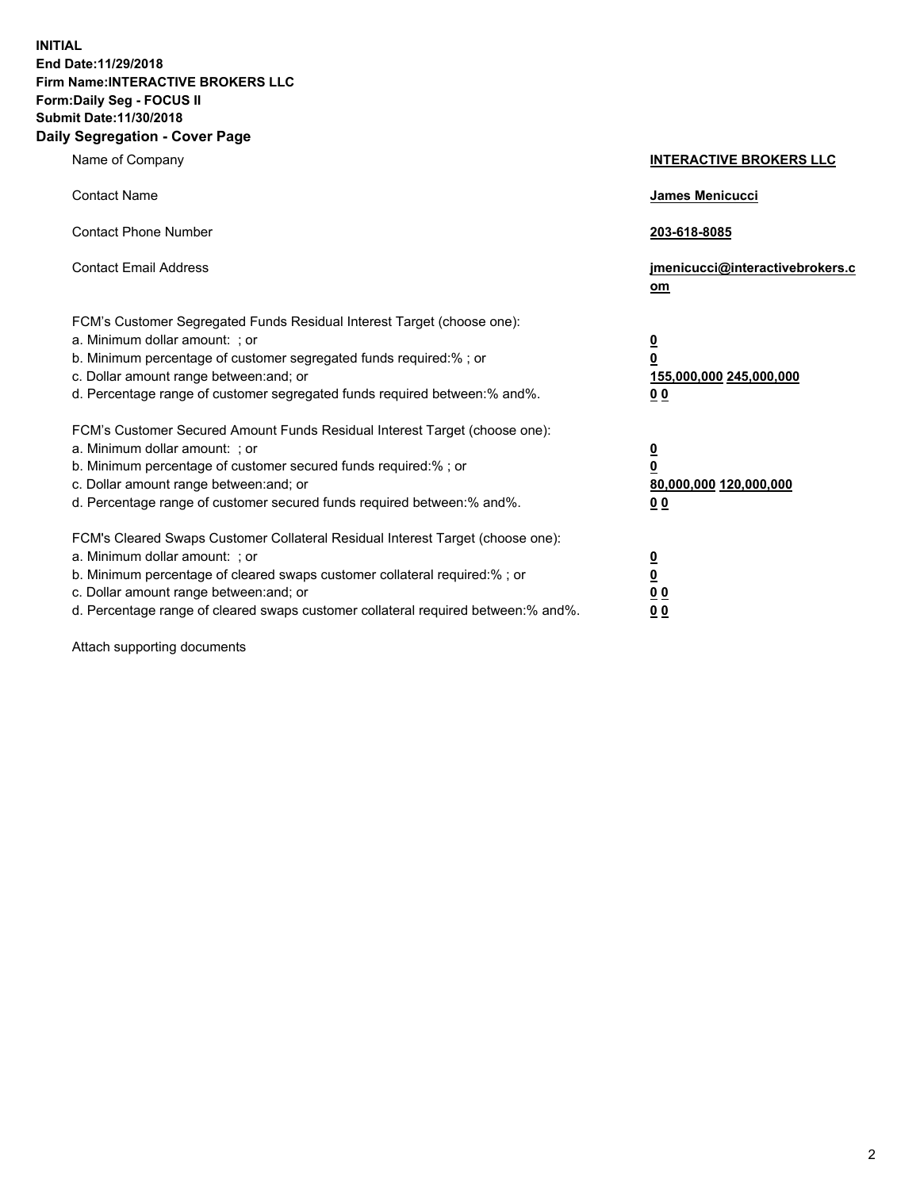**INITIAL End Date:11/29/2018 Firm Name:INTERACTIVE BROKERS LLC Form:Daily Seg - FOCUS II Submit Date:11/30/2018 Daily Segregation - Cover Page**

| Name of Company                                                                                                                                                                                                                                                                                                                | <b>INTERACTIVE BROKERS LLC</b>                                                                  |
|--------------------------------------------------------------------------------------------------------------------------------------------------------------------------------------------------------------------------------------------------------------------------------------------------------------------------------|-------------------------------------------------------------------------------------------------|
| <b>Contact Name</b>                                                                                                                                                                                                                                                                                                            | James Menicucci                                                                                 |
| <b>Contact Phone Number</b>                                                                                                                                                                                                                                                                                                    | 203-618-8085                                                                                    |
| <b>Contact Email Address</b>                                                                                                                                                                                                                                                                                                   | jmenicucci@interactivebrokers.c<br>om                                                           |
| FCM's Customer Segregated Funds Residual Interest Target (choose one):<br>a. Minimum dollar amount: ; or<br>b. Minimum percentage of customer segregated funds required:% ; or<br>c. Dollar amount range between: and; or<br>d. Percentage range of customer segregated funds required between:% and%.                         | $\overline{\mathbf{0}}$<br>$\overline{\mathbf{0}}$<br>155,000,000 245,000,000<br>0 <sub>0</sub> |
| FCM's Customer Secured Amount Funds Residual Interest Target (choose one):<br>a. Minimum dollar amount: ; or<br>b. Minimum percentage of customer secured funds required:%; or<br>c. Dollar amount range between: and; or<br>d. Percentage range of customer secured funds required between:% and%.                            | $\overline{\mathbf{0}}$<br>$\overline{\mathbf{0}}$<br>80,000,000 120,000,000<br>0 <sub>0</sub>  |
| FCM's Cleared Swaps Customer Collateral Residual Interest Target (choose one):<br>a. Minimum dollar amount: ; or<br>b. Minimum percentage of cleared swaps customer collateral required:% ; or<br>c. Dollar amount range between: and; or<br>d. Percentage range of cleared swaps customer collateral required between:% and%. | $\overline{\mathbf{0}}$<br>$\underline{\mathbf{0}}$<br>0 <sub>0</sub><br>0 <sub>0</sub>         |

Attach supporting documents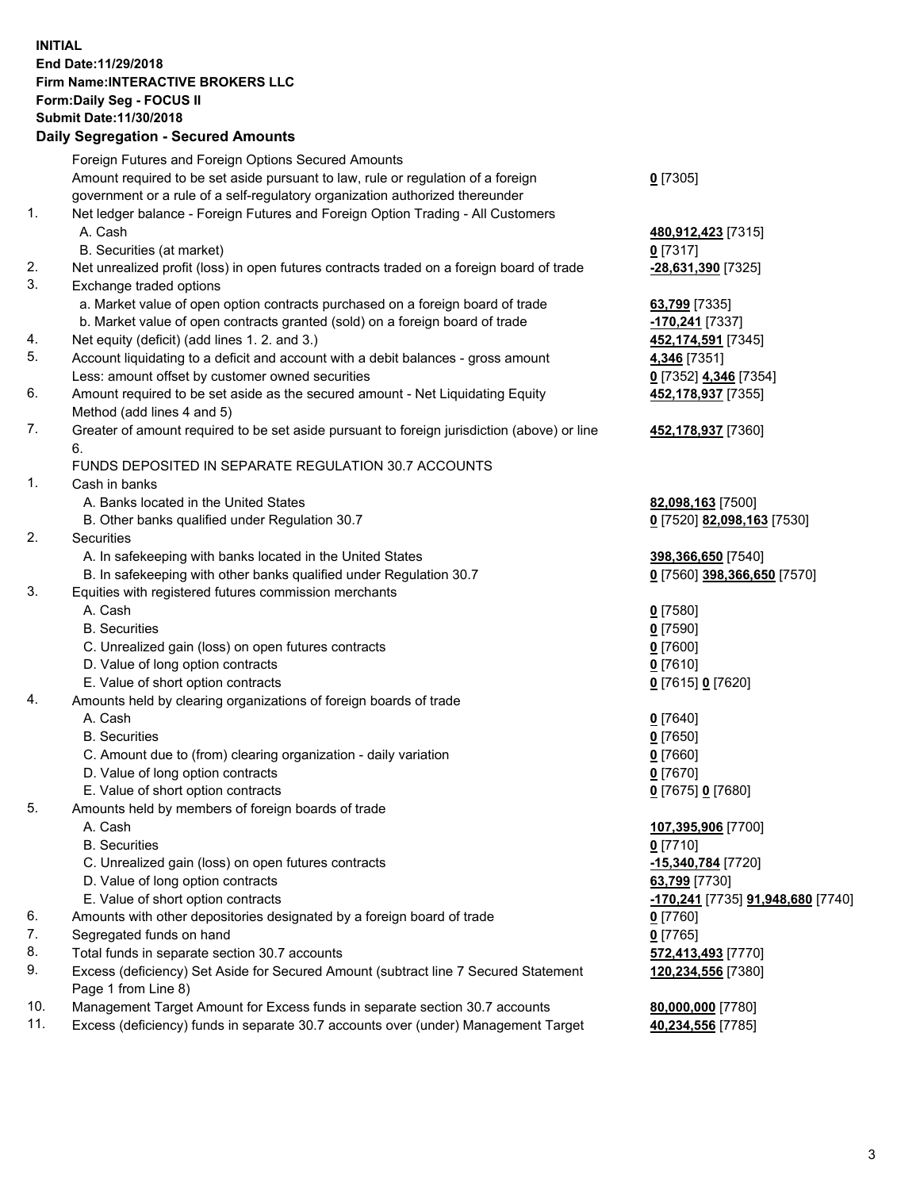## **INITIAL End Date:11/29/2018 Firm Name:INTERACTIVE BROKERS LLC Form:Daily Seg - FOCUS II Submit Date:11/30/2018 Daily Segregation - Secured Amounts**

|     | Daily Segregation - Secured Alliounts                                                             |                                                 |
|-----|---------------------------------------------------------------------------------------------------|-------------------------------------------------|
|     | Foreign Futures and Foreign Options Secured Amounts                                               |                                                 |
|     | Amount required to be set aside pursuant to law, rule or regulation of a foreign                  | $0$ [7305]                                      |
|     | government or a rule of a self-regulatory organization authorized thereunder                      |                                                 |
| 1.  | Net ledger balance - Foreign Futures and Foreign Option Trading - All Customers                   |                                                 |
|     | A. Cash                                                                                           | 480,912,423 [7315]                              |
|     | B. Securities (at market)                                                                         | 0 [7317]                                        |
| 2.  | Net unrealized profit (loss) in open futures contracts traded on a foreign board of trade         | -28,631,390 [7325]                              |
| 3.  | Exchange traded options                                                                           |                                                 |
|     | a. Market value of open option contracts purchased on a foreign board of trade                    | 63,799 [7335]                                   |
|     | b. Market value of open contracts granted (sold) on a foreign board of trade                      | -170,241 [7337]                                 |
| 4.  | Net equity (deficit) (add lines 1. 2. and 3.)                                                     | 452, 174, 591 [7345]                            |
| 5.  | Account liquidating to a deficit and account with a debit balances - gross amount                 | 4,346 [7351]                                    |
|     | Less: amount offset by customer owned securities                                                  | 0 [7352] 4,346 [7354]                           |
| 6.  | Amount required to be set aside as the secured amount - Net Liquidating Equity                    | 452,178,937 [7355]                              |
|     | Method (add lines 4 and 5)                                                                        |                                                 |
| 7.  | Greater of amount required to be set aside pursuant to foreign jurisdiction (above) or line<br>6. | 452,178,937 [7360]                              |
|     | FUNDS DEPOSITED IN SEPARATE REGULATION 30.7 ACCOUNTS                                              |                                                 |
| 1.  | Cash in banks                                                                                     |                                                 |
|     | A. Banks located in the United States                                                             | 82,098,163 [7500]                               |
|     | B. Other banks qualified under Regulation 30.7                                                    | 0 [7520] 82,098,163 [7530]                      |
| 2.  | Securities                                                                                        |                                                 |
|     | A. In safekeeping with banks located in the United States                                         | 398,366,650 [7540]                              |
|     | B. In safekeeping with other banks qualified under Regulation 30.7                                | 0 [7560] 398,366,650 [7570]                     |
| 3.  | Equities with registered futures commission merchants                                             |                                                 |
|     | A. Cash                                                                                           | $0$ [7580]                                      |
|     | <b>B.</b> Securities                                                                              | $0$ [7590]                                      |
|     | C. Unrealized gain (loss) on open futures contracts                                               | $0$ [7600]                                      |
|     | D. Value of long option contracts                                                                 | $0$ [7610]                                      |
|     | E. Value of short option contracts                                                                | 0 [7615] 0 [7620]                               |
| 4.  | Amounts held by clearing organizations of foreign boards of trade                                 |                                                 |
|     | A. Cash                                                                                           | $0$ [7640]                                      |
|     | <b>B.</b> Securities                                                                              | $0$ [7650]                                      |
|     | C. Amount due to (from) clearing organization - daily variation                                   | $0$ [7660]                                      |
|     | D. Value of long option contracts                                                                 | $0$ [7670]                                      |
|     | E. Value of short option contracts                                                                | 0 [7675] 0 [7680]                               |
| 5.  | Amounts held by members of foreign boards of trade                                                |                                                 |
|     | A. Cash                                                                                           | 107,395,906 [7700]                              |
|     | <b>B.</b> Securities                                                                              | $0$ [7710]                                      |
|     | C. Unrealized gain (loss) on open futures contracts                                               | -15,340,784 [7720]                              |
|     | D. Value of long option contracts                                                                 | 63,799 [7730]                                   |
|     | E. Value of short option contracts                                                                | <u>-170,241</u> [7735] <b>91,948,680</b> [7740] |
| 6.  | Amounts with other depositories designated by a foreign board of trade                            | $0$ [7760]                                      |
| 7.  | Segregated funds on hand                                                                          | $0$ [7765]                                      |
| 8.  | Total funds in separate section 30.7 accounts                                                     | 572,413,493 [7770]                              |
| 9.  | Excess (deficiency) Set Aside for Secured Amount (subtract line 7 Secured Statement               | 120,234,556 [7380]                              |
|     | Page 1 from Line 8)                                                                               |                                                 |
| 10. | Management Target Amount for Excess funds in separate section 30.7 accounts                       | 80,000,000 [7780]                               |
| 11. | Excess (deficiency) funds in separate 30.7 accounts over (under) Management Target                | 40,234,556 [7785]                               |
|     |                                                                                                   |                                                 |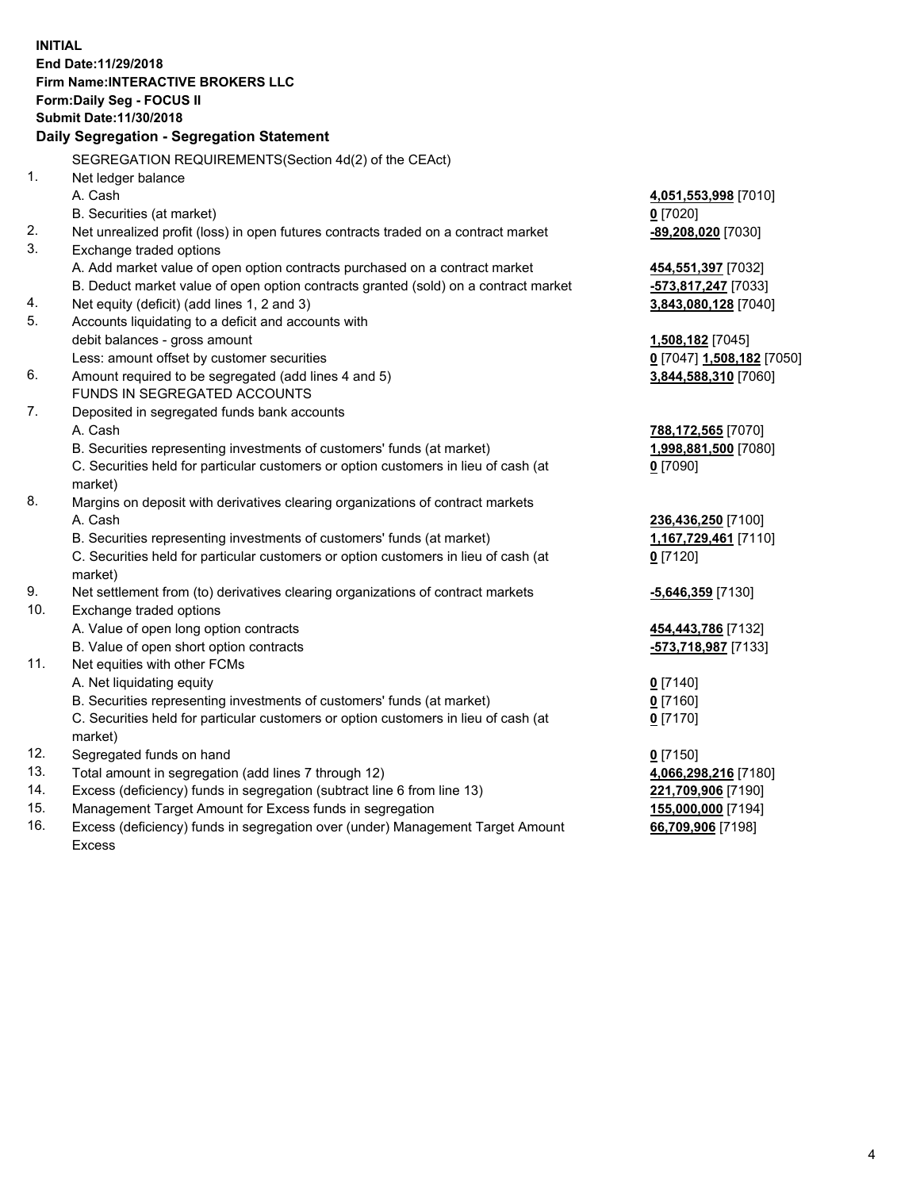**INITIAL End Date:11/29/2018 Firm Name:INTERACTIVE BROKERS LLC Form:Daily Seg - FOCUS II Submit Date:11/30/2018 Daily Segregation - Segregation Statement** SEGREGATION REQUIREMENTS(Section 4d(2) of the CEAct) 1. Net ledger balance A. Cash **4,051,553,998** [7010] B. Securities (at market) **0** [7020] 2. Net unrealized profit (loss) in open futures contracts traded on a contract market **-89,208,020** [7030] 3. Exchange traded options A. Add market value of open option contracts purchased on a contract market **454,551,397** [7032] B. Deduct market value of open option contracts granted (sold) on a contract market **-573,817,247** [7033] 4. Net equity (deficit) (add lines 1, 2 and 3) **3,843,080,128** [7040] 5. Accounts liquidating to a deficit and accounts with debit balances - gross amount **1,508,182** [7045] Less: amount offset by customer securities **0** [7047] **1,508,182** [7050] 6. Amount required to be segregated (add lines 4 and 5) **3,844,588,310** [7060] FUNDS IN SEGREGATED ACCOUNTS 7. Deposited in segregated funds bank accounts A. Cash **788,172,565** [7070] B. Securities representing investments of customers' funds (at market) **1,998,881,500** [7080] C. Securities held for particular customers or option customers in lieu of cash (at market) **0** [7090] 8. Margins on deposit with derivatives clearing organizations of contract markets A. Cash **236,436,250** [7100] B. Securities representing investments of customers' funds (at market) **1,167,729,461** [7110] C. Securities held for particular customers or option customers in lieu of cash (at market) **0** [7120] 9. Net settlement from (to) derivatives clearing organizations of contract markets **-5,646,359** [7130] 10. Exchange traded options A. Value of open long option contracts **454,443,786** [7132] B. Value of open short option contracts **-573,718,987** [7133] 11. Net equities with other FCMs A. Net liquidating equity **0** [7140] B. Securities representing investments of customers' funds (at market) **0** [7160] C. Securities held for particular customers or option customers in lieu of cash (at market) **0** [7170] 12. Segregated funds on hand **0** [7150] 13. Total amount in segregation (add lines 7 through 12) **4,066,298,216** [7180] 14. Excess (deficiency) funds in segregation (subtract line 6 from line 13) **221,709,906** [7190] 15. Management Target Amount for Excess funds in segregation **155,000,000** [7194] **66,709,906** [7198]

16. Excess (deficiency) funds in segregation over (under) Management Target Amount Excess

4